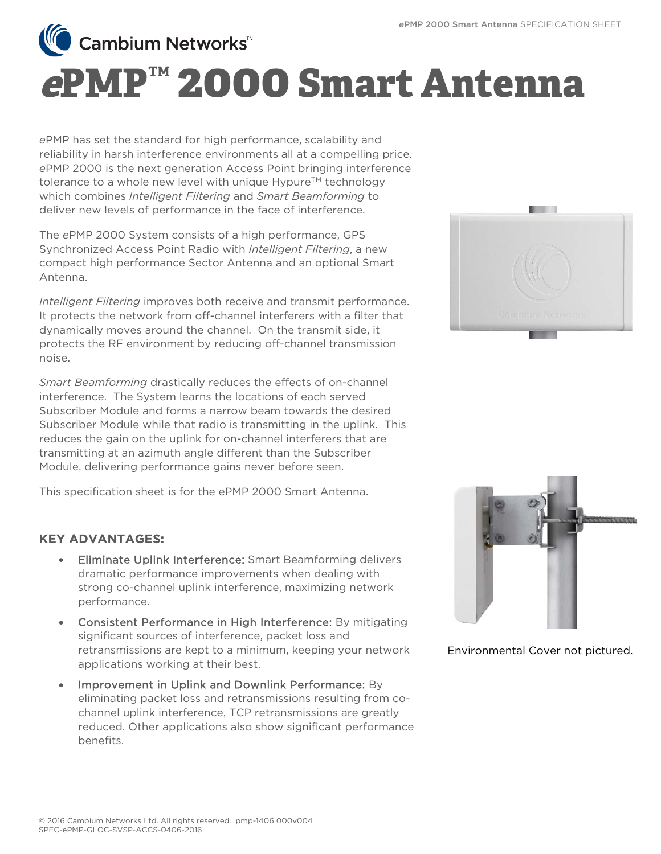**Cambium Networks**<sup>™</sup>

## **<sup>e</sup>PMP™ 2000 Smart Antenna**

*e*PMP has set the standard for high performance, scalability and reliability in harsh interference environments all at a compelling price. *e*PMP 2000 is the next generation Access Point bringing interference tolerance to a whole new level with unique Hypure™ technology which combines *Intelligent Filtering* and *Smart Beamforming* to deliver new levels of performance in the face of interference.

The *e*PMP 2000 System consists of a high performance, GPS Synchronized Access Point Radio with *Intelligent Filtering*, a new compact high performance Sector Antenna and an optional Smart Antenna.

*Intelligent Filtering* improves both receive and transmit performance. It protects the network from off-channel interferers with a filter that dynamically moves around the channel. On the transmit side, it protects the RF environment by reducing off-channel transmission noise.

*Smart Beamforming* drastically reduces the effects of on-channel interference. The System learns the locations of each served Subscriber Module and forms a narrow beam towards the desired Subscriber Module while that radio is transmitting in the uplink. This reduces the gain on the uplink for on-channel interferers that are transmitting at an azimuth angle different than the Subscriber Module, delivering performance gains never before seen.

This specification sheet is for the ePMP 2000 Smart Antenna.

## KEY ADVANTAGES:

- Eliminate Uplink Interference: Smart Beamforming delivers dramatic performance improvements when dealing with strong co-channel uplink interference, maximizing network performance.
- Consistent Performance in High Interference: By mitigating significant sources of interference, packet loss and retransmissions are kept to a minimum, keeping your network applications working at their best.
- Improvement in Uplink and Downlink Performance: By eliminating packet loss and retransmissions resulting from cochannel uplink interference, TCP retransmissions are greatly reduced. Other applications also show significant performance benefits.





Environmental Cover not pictured.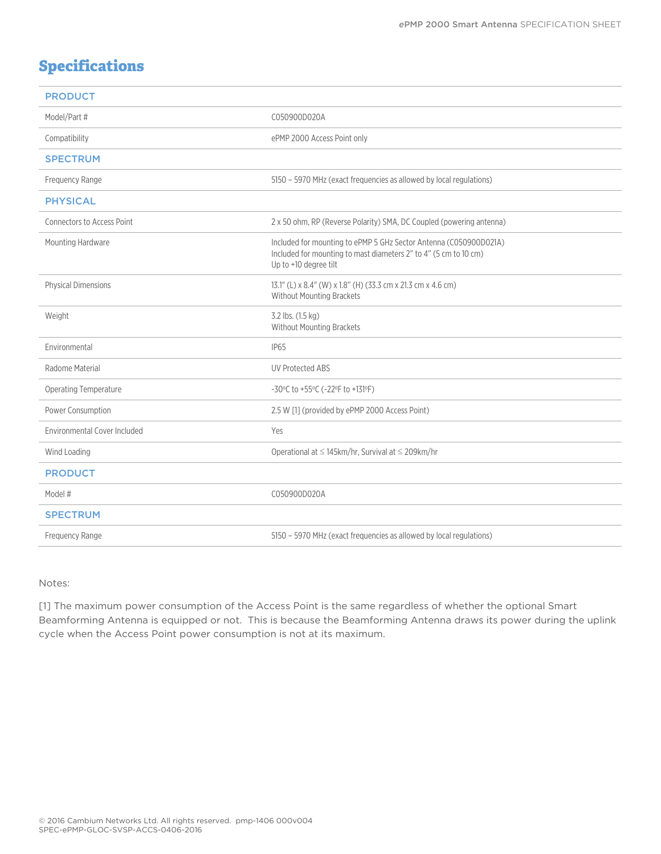## **Specifications**

| <b>PRODUCT</b>                      |                                                                                                                                                                |
|-------------------------------------|----------------------------------------------------------------------------------------------------------------------------------------------------------------|
| Model/Part #                        | C050900D020A                                                                                                                                                   |
| Compatibility                       | ePMP 2000 Access Point only                                                                                                                                    |
| <b>SPECTRUM</b>                     |                                                                                                                                                                |
| Frequency Range                     | 5150 - 5970 MHz (exact frequencies as allowed by local regulations)                                                                                            |
| <b>PHYSICAL</b>                     |                                                                                                                                                                |
| <b>Connectors to Access Point</b>   | 2 x 50 ohm, RP (Reverse Polarity) SMA, DC Coupled (powering antenna)                                                                                           |
| Mounting Hardware                   | Included for mounting to ePMP 5 GHz Sector Antenna (C050900D021A)<br>Included for mounting to mast diameters 2" to 4" (5 cm to 10 cm)<br>Up to +10 degree tilt |
| <b>Physical Dimensions</b>          | 13.1" (L) x 8.4" (W) x 1.8" (H) (33.3 cm x 21.3 cm x 4.6 cm)<br>Without Mounting Brackets                                                                      |
| Weight                              | 3.2 lbs. (1.5 kg)<br><b>Without Mounting Brackets</b>                                                                                                          |
| Environmental                       | <b>IP65</b>                                                                                                                                                    |
| Radome Material                     | <b>UV Protected ABS</b>                                                                                                                                        |
| Operating Temperature               | -30°C to +55°C (-22°F to +131°F)                                                                                                                               |
| Power Consumption                   | 2.5 W [1] (provided by ePMP 2000 Access Point)                                                                                                                 |
| <b>Environmental Cover Included</b> | Yes                                                                                                                                                            |
| Wind Loading                        | Operational at $\leq$ 145km/hr, Survival at $\leq$ 209km/hr                                                                                                    |
| <b>PRODUCT</b>                      |                                                                                                                                                                |
| Model #                             | C050900D020A                                                                                                                                                   |
| <b>SPECTRUM</b>                     |                                                                                                                                                                |
| Frequency Range                     | 5150 - 5970 MHz (exact frequencies as allowed by local regulations)                                                                                            |

Notes:

[1] The maximum power consumption of the Access Point is the same regardless of whether the optional Smart Beamforming Antenna is equipped or not. This is because the Beamforming Antenna draws its power during the uplink cycle when the Access Point power consumption is not at its maximum.